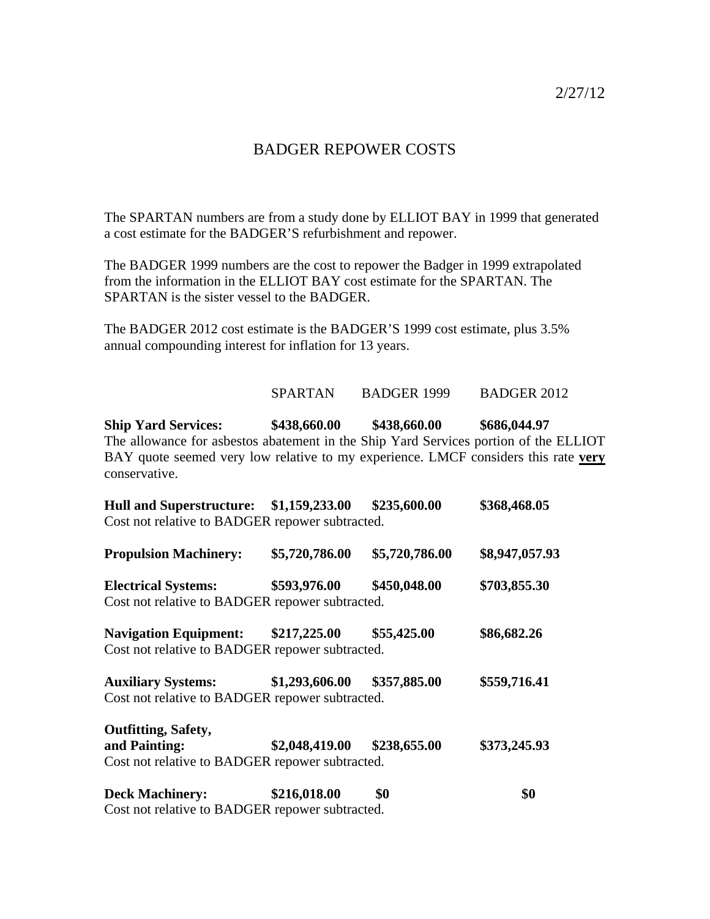2/27/12

### BADGER REPOWER COSTS

The SPARTAN numbers are from a study done by ELLIOT BAY in 1999 that generated a cost estimate for the BADGER'S refurbishment and repower.

The BADGER 1999 numbers are the cost to repower the Badger in 1999 extrapolated from the information in the ELLIOT BAY cost estimate for the SPARTAN. The SPARTAN is the sister vessel to the BADGER.

The BADGER 2012 cost estimate is the BADGER'S 1999 cost estimate, plus 3.5% annual compounding interest for inflation for 13 years.

#### SPARTAN BADGER 1999 BADGER 2012

**Ship Yard Services: \$438,660.00 \$438,660.00 \$686,044.97**  The allowance for asbestos abatement in the Ship Yard Services portion of the ELLIOT BAY quote seemed very low relative to my experience. LMCF considers this rate **very** conservative.

| Hull and Superstructure: \$1,159,233.00                                         |                | \$235,600.00   | \$368,468.05   |
|---------------------------------------------------------------------------------|----------------|----------------|----------------|
| Cost not relative to BADGER repower subtracted.                                 |                |                |                |
| <b>Propulsion Machinery:</b>                                                    | \$5,720,786.00 | \$5,720,786.00 | \$8,947,057.93 |
| <b>Electrical Systems:</b>                                                      | \$593,976.00   | \$450,048.00   | \$703,855.30   |
| Cost not relative to BADGER repower subtracted.                                 |                |                |                |
| <b>Navigation Equipment:</b><br>Cost not relative to BADGER repower subtracted. | \$217,225.00   | \$55,425.00    | \$86,682.26    |
|                                                                                 |                |                |                |
| <b>Auxiliary Systems:</b><br>Cost not relative to BADGER repower subtracted.    | \$1,293,606.00 | \$357,885.00   | \$559,716.41   |
| Outfitting, Safety,                                                             |                |                |                |
| and Painting:                                                                   | \$2,048,419.00 | \$238,655.00   | \$373,245.93   |
| Cost not relative to BADGER repower subtracted.                                 |                |                |                |
| <b>Deck Machinery:</b>                                                          | \$216,018.00   | \$0            | \$0            |

Cost not relative to BADGER repower subtracted.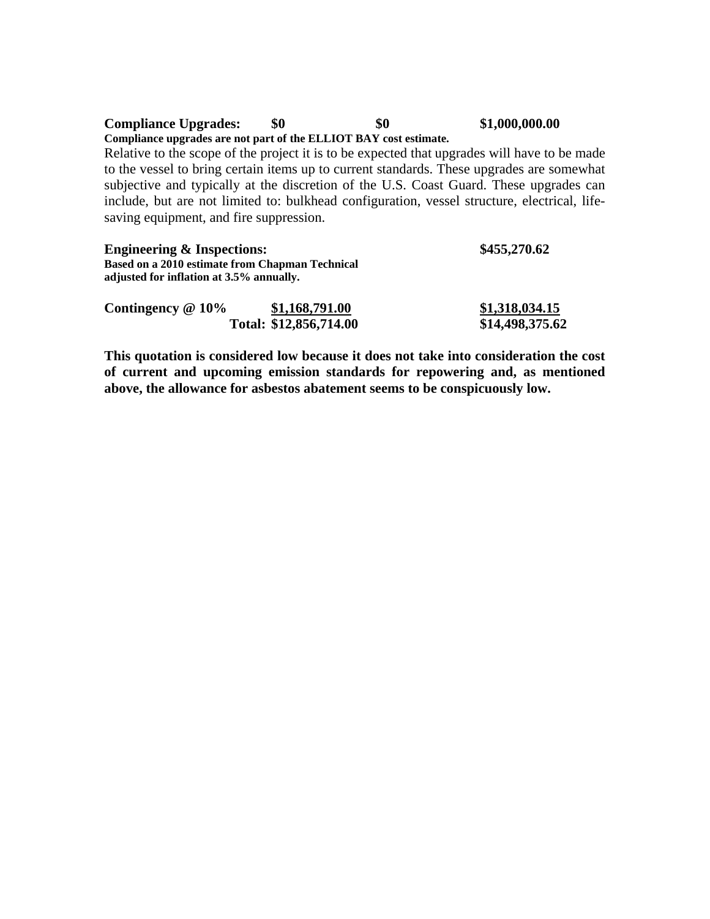# **Compliance Upgrades:** \$0 \$0 \$1,000,000.00

#### **Compliance upgrades are not part of the ELLIOT BAY cost estimate.**

Relative to the scope of the project it is to be expected that upgrades will have to be made to the vessel to bring certain items up to current standards. These upgrades are somewhat subjective and typically at the discretion of the U.S. Coast Guard. These upgrades can include, but are not limited to: bulkhead configuration, vessel structure, electrical, lifesaving equipment, and fire suppression.

| <b>Engineering &amp; Inspections:</b>                                                       |                        | \$455,270.62    |
|---------------------------------------------------------------------------------------------|------------------------|-----------------|
| Based on a 2010 estimate from Chapman Technical<br>adjusted for inflation at 3.5% annually. |                        |                 |
| Contingency $@10\%$                                                                         | \$1,168,791.00         | \$1,318,034.15  |
|                                                                                             | Total: \$12,856,714.00 | \$14,498,375.62 |

**This quotation is considered low because it does not take into consideration the cost of current and upcoming emission standards for repowering and, as mentioned above, the allowance for asbestos abatement seems to be conspicuously low.**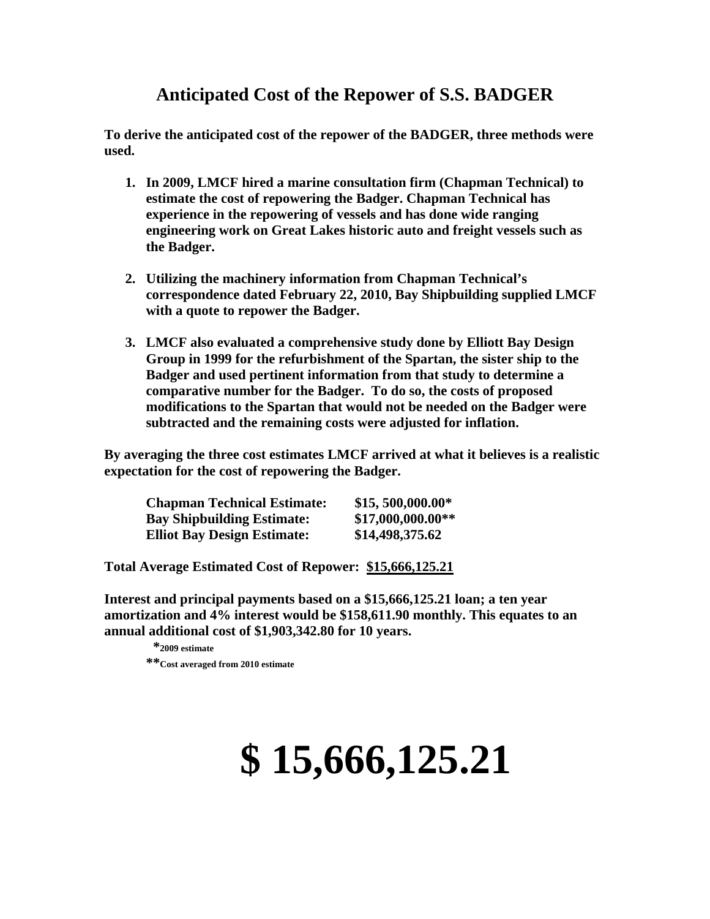# **Anticipated Cost of the Repower of S.S. BADGER**

**To derive the anticipated cost of the repower of the BADGER, three methods were used.** 

- **1. In 2009, LMCF hired a marine consultation firm (Chapman Technical) to estimate the cost of repowering the Badger. Chapman Technical has experience in the repowering of vessels and has done wide ranging engineering work on Great Lakes historic auto and freight vessels such as the Badger.**
- **2. Utilizing the machinery information from Chapman Technical's correspondence dated February 22, 2010, Bay Shipbuilding supplied LMCF with a quote to repower the Badger.**
- **3. LMCF also evaluated a comprehensive study done by Elliott Bay Design Group in 1999 for the refurbishment of the Spartan, the sister ship to the Badger and used pertinent information from that study to determine a comparative number for the Badger. To do so, the costs of proposed modifications to the Spartan that would not be needed on the Badger were subtracted and the remaining costs were adjusted for inflation.**

**By averaging the three cost estimates LMCF arrived at what it believes is a realistic expectation for the cost of repowering the Badger.** 

| <b>Chapman Technical Estimate:</b> | $$15,500,000.00*$  |
|------------------------------------|--------------------|
| <b>Bay Shipbuilding Estimate:</b>  | $$17,000,000.00**$ |
| <b>Elliot Bay Design Estimate:</b> | \$14,498,375.62    |

**Total Average Estimated Cost of Repower: \$15,666,125.21**

**Interest and principal payments based on a \$15,666,125.21 loan; a ten year amortization and 4% interest would be \$158,611.90 monthly. This equates to an annual additional cost of \$1,903,342.80 for 10 years.** 

 **\*2009 estimate \*\*Cost averaged from 2010 estimate** 

# **\$ 15,666,125.21**